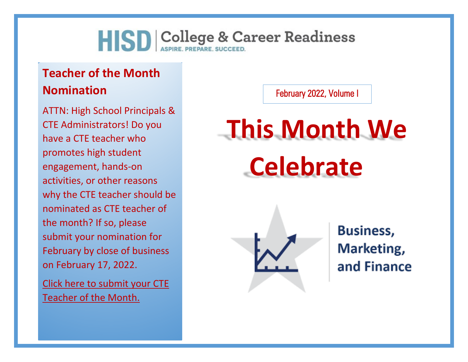#### **Teacher of the Month Nomination**

ATTN: High School Principals & CTE Administrators! Do you have a CTE teacher who promotes high student engagement, hands-on activities, or other reasons why the CTE teacher should be nominated as CTE teacher of the month? If so, please submit your nomination for February by close of business on February 17, 2022.

[Click here to submit your CTE](https://forms.office.com/r/Jy6z80XCCW)  [Teacher of the Month.](https://forms.office.com/r/Jy6z80XCCW)

February 2022, Volume I

# **This Month We Celebrate**



**Business,** Marketing, and Finance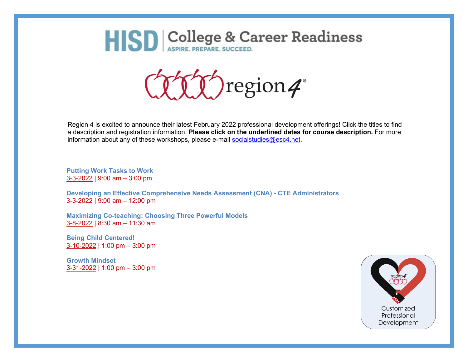

Contro region4°

Region 4 is excited to announce their latest February 2022 professional development offerings! Click the titles to find a description and registration information. **Please click on the underlined dates for course description.** For more information about any of these workshops, please e-mail [socialstudies@esc4.net.](mailto:reading@esc4.net)

**Putting Work Tasks to Work** [3-3-2022](https://www.escweb.net/tx_esc_04/catalog/session.aspx?session_id=1616911) | 9:00 am – 3:00 pm

**Developing an Effective Comprehensive Needs Assessment (CNA) - CTE Administrators** [3-3-2022](https://www.escweb.net/tx_esc_04/catalog/session.aspx?session_id=1639374) | 9:00 am – 12:00 pm

**Maximizing Co-teaching: Choosing Three Powerful Models** [3-8-2022](https://www.escweb.net/tx_esc_04/catalog/session.aspx?session_id=1654240) | 8:30 am – 11:30 am

**Being Child Centered!** [3-10-2022](https://www.escweb.net/tx_esc_04/catalog/session.aspx?session_id=1573548) | 1:00 pm – 3:00 pm

**Growth Mindset** [3-31-2022](https://www.escweb.net/tx_esc_04/catalog/session.aspx?session_id=1655536) | 1:00 pm – 3:00 pm

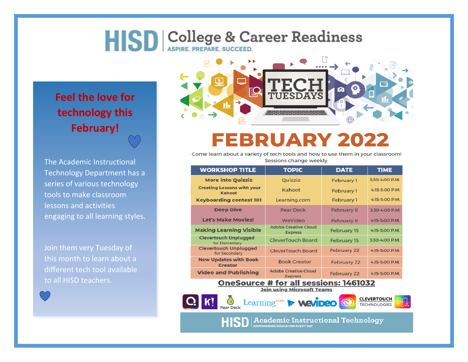**Feel the love for technology this February!**

The Academic Instructional Technology Department has a series of various technology tools to make classroom lessons and activities engaging to all learning styles.

Join them very Tuesday of this month to learn about a different tech tool available to all HISD teachers.



#### FEBRUARY 2022

Come learn about a variety of tech tools and how to use them in your classroom! Sessions change weekly.

| <b>WORKSHOP TITLE</b>                                                     | <b>TOPIC</b>                                  | <b>DATE</b>        | <b>TIME</b>      |  |
|---------------------------------------------------------------------------|-----------------------------------------------|--------------------|------------------|--|
| <b>More into Quizziz</b>                                                  | Quizziz                                       | <b>February 1</b>  | 3:30-4:00 P.M.   |  |
| <b>Creating Lessons with your</b><br>Kahoot                               | Kahoot                                        | <b>February 1</b>  | 4:15-5:00 P.M.   |  |
| <b>Keyboarding contest 101</b>                                            | Learning.com                                  | <b>February 1</b>  | $4:15-5:00$ P.M. |  |
| <b>Deep Dive</b>                                                          | <b>Pear Deck</b>                              | <b>February 8</b>  | 3:30-4:00 P.M.   |  |
| <b>Let's Make Movies!</b>                                                 | WeVideo                                       | <b>February 8</b>  | 4:15-5:00 P.M.   |  |
| <b>Making Learning Visible</b>                                            | <b>Adobe Creative Cloud</b><br><b>Express</b> | <b>February 15</b> | 4:15-5:00 P.M.   |  |
| <b>Clevertouch Unplugged</b><br>for Elementary                            | <b>CleverTouch Board</b>                      | <b>February 15</b> | 3:30-4:00 P.M.   |  |
| <b>Clevertouch Unplugged</b><br>for Secondary                             | <b>CleverTouch Board</b>                      | <b>February 22</b> | 4:15-5:00 P.M.   |  |
| <b>New Updates with Book</b><br><b>Creator</b>                            | <b>Book Creator</b>                           | <b>February 22</b> | 4:15-5:00 P.M.   |  |
| <b>Video and Publishing</b>                                               | <b>Adobe Creative Cloud</b><br><b>Express</b> | <b>February 22</b> | 4:15-5:00 P.M.   |  |
| <b>OneSource # for all sessions: 1461032</b>                              |                                               |                    |                  |  |
| <b>Join using Microsoft Teams</b>                                         |                                               |                    |                  |  |
| <b>CLEVERTOUCH</b><br><b>WEVIDEO</b><br><b>TECHNOLOGIES</b><br>Doar Dooli |                                               |                    |                  |  |

**Academic Instructional Technology**<br>EMPOWERING EDUCATION EVERY DAY HISD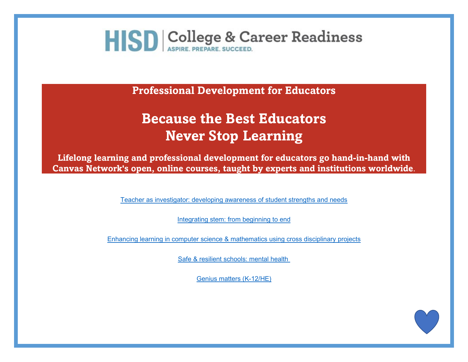

**Professional Development for Educators**

#### **Because the Best Educators Never Stop Learning**

**Lifelong learning and professional development for educators go hand-in-hand with Canvas Network's open, online courses, taught by experts and institutions worldwide**.

[Teacher as investigator: developing awareness of student strengths and needs](https://www.canvas.net/browse/understood/courses/teacher-as-investigator)

[Integrating stem: from beginning to end](https://www.canvas.net/browse/tennessee-tech/courses/integrating-stem)

[Enhancing learning in computer science & mathematics using cross disciplinary projects](https://www.canvas.net/browse/wolverhampton/courses/enhancing-learning-computer-science-mathematics)

[Safe & resilient schools: mental health](https://www.canvas.net/browse/cu-boulder/courses/safe-resilient-schools)

[Genius matters \(K-12/HE\)](https://www.canvas.net/browse/cn-pd/courses/genius-matters)

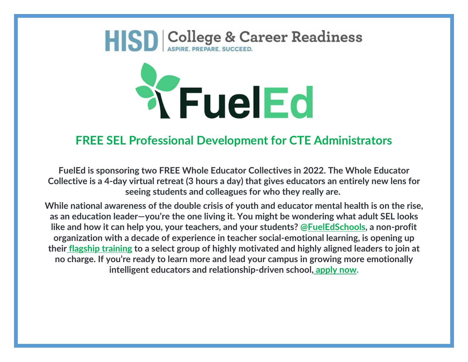



#### **FREE SEL Professional Development for CTE Administrators**

**FuelEd is sponsoring two FREE Whole Educator Collectives in 2022. The Whole Educator Collective is a 4-day virtual retreat (3 hours a day) that gives educators an entirely new lens for seeing students and colleagues for who they really are.**

**While national awareness of the double crisis of youth and educator mental health is on the rise, as an education leader—you're the one living it. You might be wondering what adult SEL looks like and how it can help you, your teachers, and your students? [@FuelEdSchools,](http://www.fueledschools.org/) a non-profit organization with a decade of experience in teacher social-emotional learning, is opening up their [flagship training](https://www.fueledschools.org/whole-educator-collective) to a select group of highly motivated and highly aligned leaders to join at no charge. If you're ready to learn more and lead your campus in growing more emotionally intelligent educators and relationship-driven school, [apply now.](https://www.fueledschools.org/whole-educator-collective-application-2022)**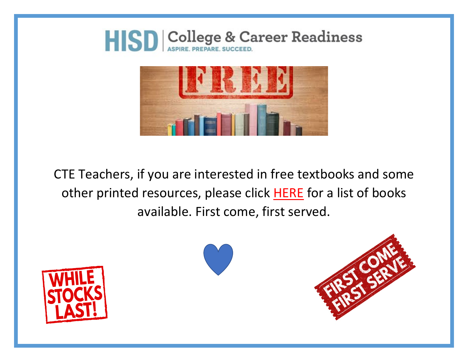



CTE Teachers, if you are interested in free textbooks and some other printed resources, please click [HERE](https://forms.office.com/r/MkU60kBL3v) for a list of books available. First come, first served.





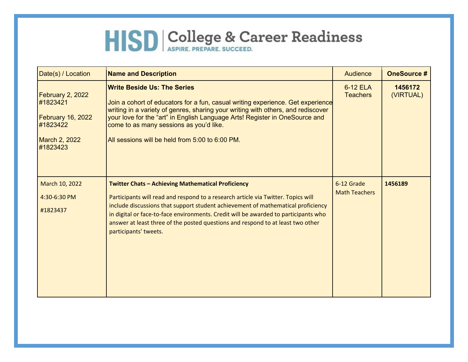| Date(s) / Location                                                                                       | <b>Name and Description</b>                                                                                                                                                                                                                                                                                                                                                                                                           | Audience                           | <b>OneSource #</b>   |
|----------------------------------------------------------------------------------------------------------|---------------------------------------------------------------------------------------------------------------------------------------------------------------------------------------------------------------------------------------------------------------------------------------------------------------------------------------------------------------------------------------------------------------------------------------|------------------------------------|----------------------|
| <b>February 2, 2022</b><br>#1823421<br><b>February 16, 2022</b><br>#1823422<br>March 2, 2022<br>#1823423 | <b>Write Beside Us: The Series</b><br>Join a cohort of educators for a fun, casual writing experience. Get experience<br>writing in a variety of genres, sharing your writing with others, and rediscover<br>your love for the "art" in English Language Arts! Register in OneSource and<br>come to as many sessions as you'd like.<br>All sessions will be held from 5:00 to 6:00 PM.                                                | 6-12 ELA<br><b>Teachers</b>        | 1456172<br>(VIRTUAL) |
| March 10, 2022<br>4:30-6:30 PM<br>#1823437                                                               | <b>Twitter Chats - Achieving Mathematical Proficiency</b><br>Participants will read and respond to a research article via Twitter. Topics will<br>include discussions that support student achievement of mathematical proficiency<br>in digital or face-to-face environments. Credit will be awarded to participants who<br>answer at least three of the posted questions and respond to at least two other<br>participants' tweets. | 6-12 Grade<br><b>Math Teachers</b> | 1456189              |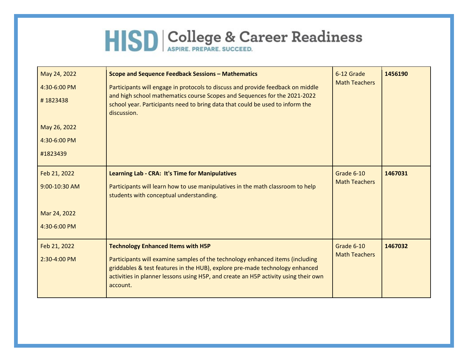| May 24, 2022<br>4:30-6:00 PM<br>#1823438<br>May 26, 2022<br>4:30-6:00 PM<br>#1823439 | Scope and Sequence Feedback Sessions - Mathematics<br>Participants will engage in protocols to discuss and provide feedback on middle<br>and high school mathematics course Scopes and Sequences for the 2021-2022<br>school year. Participants need to bring data that could be used to inform the<br>discussion. | 6-12 Grade<br><b>Math Teachers</b> | 1456190 |
|--------------------------------------------------------------------------------------|--------------------------------------------------------------------------------------------------------------------------------------------------------------------------------------------------------------------------------------------------------------------------------------------------------------------|------------------------------------|---------|
| Feb 21, 2022<br>9:00-10:30 AM<br>Mar 24, 2022<br>4:30-6:00 PM                        | Learning Lab - CRA: It's Time for Manipulatives<br>Participants will learn how to use manipulatives in the math classroom to help<br>students with conceptual understanding.                                                                                                                                       | Grade 6-10<br><b>Math Teachers</b> | 1467031 |
| Feb 21, 2022<br>2:30-4:00 PM                                                         | <b>Technology Enhanced Items with H5P</b><br>Participants will examine samples of the technology enhanced items (including<br>griddables & test features in the HUB), explore pre-made technology enhanced<br>activities in planner lessons using H5P, and create an H5P activity using their own<br>account.      | Grade 6-10<br><b>Math Teachers</b> | 1467032 |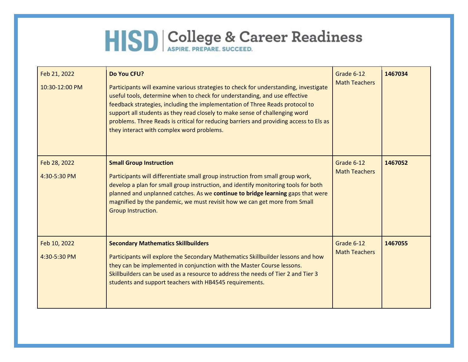| Feb 21, 2022<br>10:30-12:00 PM | Do You CFU?<br>Participants will examine various strategies to check for understanding, investigate<br>useful tools, determine when to check for understanding, and use effective<br>feedback strategies, including the implementation of Three Reads protocol to<br>support all students as they read closely to make sense of challenging word<br>problems. Three Reads is critical for reducing barriers and providing access to Els as<br>they interact with complex word problems. | Grade 6-12<br><b>Math Teachers</b> | 1467034 |
|--------------------------------|-----------------------------------------------------------------------------------------------------------------------------------------------------------------------------------------------------------------------------------------------------------------------------------------------------------------------------------------------------------------------------------------------------------------------------------------------------------------------------------------|------------------------------------|---------|
| Feb 28, 2022<br>4:30-5:30 PM   | <b>Small Group Instruction</b><br>Participants will differentiate small group instruction from small group work,<br>develop a plan for small group instruction, and identify monitoring tools for both<br>planned and unplanned catches. As we continue to bridge learning gaps that were<br>magnified by the pandemic, we must revisit how we can get more from Small<br>Group Instruction.                                                                                            | Grade 6-12<br><b>Math Teachers</b> | 1467052 |
| Feb 10, 2022<br>4:30-5:30 PM   | <b>Secondary Mathematics Skillbuilders</b><br>Participants will explore the Secondary Mathematics Skillbuilder lessons and how<br>they can be implemented in conjunction with the Master Course lessons.<br>Skillbuilders can be used as a resource to address the needs of Tier 2 and Tier 3<br>students and support teachers with HB4545 requirements.                                                                                                                                | Grade 6-12<br><b>Math Teachers</b> | 1467055 |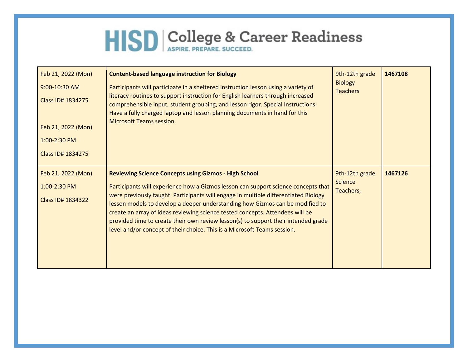| Feb 21, 2022 (Mon)<br>9:00-10:30 AM<br><b>Class ID# 1834275</b><br>Feb 21, 2022 (Mon)<br>1:00-2:30 PM<br><b>Class ID# 1834275</b> | <b>Content-based language instruction for Biology</b><br>Participants will participate in a sheltered instruction lesson using a variety of<br>literacy routines to support instruction for English learners through increased<br>comprehensible input, student grouping, and lesson rigor. Special Instructions:<br>Have a fully charged laptop and lesson planning documents in hand for this<br><b>Microsoft Teams session.</b>                                                                                                                                            | 9th-12th grade<br><b>Biology</b><br><b>Teachers</b> | 1467108 |
|-----------------------------------------------------------------------------------------------------------------------------------|-------------------------------------------------------------------------------------------------------------------------------------------------------------------------------------------------------------------------------------------------------------------------------------------------------------------------------------------------------------------------------------------------------------------------------------------------------------------------------------------------------------------------------------------------------------------------------|-----------------------------------------------------|---------|
| Feb 21, 2022 (Mon)<br>1:00-2:30 PM<br><b>Class ID# 1834322</b>                                                                    | <b>Reviewing Science Concepts using Gizmos - High School</b><br>Participants will experience how a Gizmos lesson can support science concepts that<br>were previously taught. Participants will engage in multiple differentiated Biology<br>lesson models to develop a deeper understanding how Gizmos can be modified to<br>create an array of ideas reviewing science tested concepts. Attendees will be<br>provided time to create their own review lesson(s) to support their intended grade<br>level and/or concept of their choice. This is a Microsoft Teams session. | 9th-12th grade<br><b>Science</b><br>Teachers,       | 1467126 |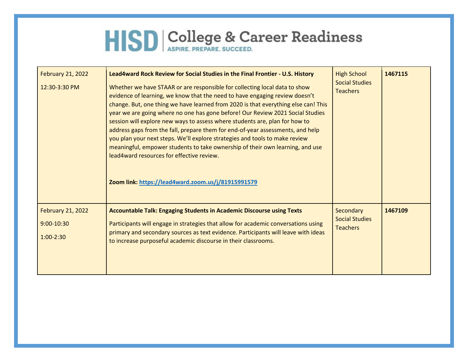| <b>February 21, 2022</b><br>12:30-3:30 PM                 | Lead4ward Rock Review for Social Studies in the Final Frontier - U.S. History<br>Whether we have STAAR or are responsible for collecting local data to show<br>evidence of learning, we know that the need to have engaging review doesn't<br>change. But, one thing we have learned from 2020 is that everything else can! This<br>year we are going where no one has gone before! Our Review 2021 Social Studies<br>session will explore new ways to assess where students are, plan for how to<br>address gaps from the fall, prepare them for end-of-year assessments, and help<br>you plan your next steps. We'll explore strategies and tools to make review<br>meaningful, empower students to take ownership of their own learning, and use<br>lead4ward resources for effective review.<br>Zoom link: https://lead4ward.zoom.us/j/81915991579 | <b>High School</b><br><b>Social Studies</b><br><b>Teachers</b> | 1467115 |
|-----------------------------------------------------------|--------------------------------------------------------------------------------------------------------------------------------------------------------------------------------------------------------------------------------------------------------------------------------------------------------------------------------------------------------------------------------------------------------------------------------------------------------------------------------------------------------------------------------------------------------------------------------------------------------------------------------------------------------------------------------------------------------------------------------------------------------------------------------------------------------------------------------------------------------|----------------------------------------------------------------|---------|
| <b>February 21, 2022</b><br>$9:00 - 10:30$<br>$1:00-2:30$ | <b>Accountable Talk: Engaging Students in Academic Discourse using Texts</b><br>Participants will engage in strategies that allow for academic conversations using<br>primary and secondary sources as text evidence. Participants will leave with ideas<br>to increase purposeful academic discourse in their classrooms.                                                                                                                                                                                                                                                                                                                                                                                                                                                                                                                             | Secondary<br><b>Social Studies</b><br><b>Teachers</b>          | 1467109 |